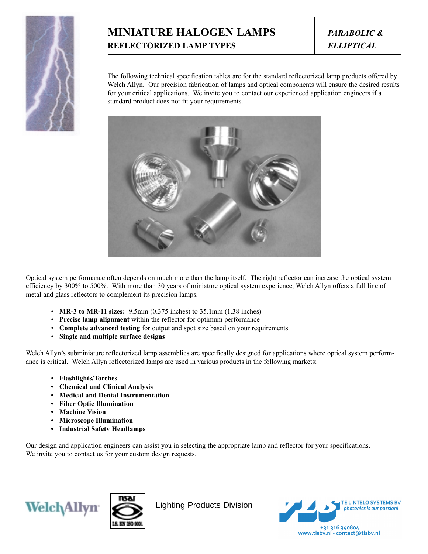

## **MINIATURE HALOGEN LAMPS** *PARABOLIC &* **REFLECTORIZED LAMP TYPES** *ELLIPTICAL*

The following technical specification tables are for the standard reflectorized lamp products offered by Welch Allyn. Our precision fabrication of lamps and optical components will ensure the desired results for your critical applications. We invite you to contact our experienced application engineers if a standard product does not fit your requirements.



Optical system performance often depends on much more than the lamp itself. The right reflector can increase the optical system efficiency by 300% to 500%. With more than 30 years of miniature optical system experience, Welch Allyn offers a full line of metal and glass reflectors to complement its precision lamps.

- **MR-3 to MR-11 sizes:** 9.5mm (0.375 inches) to 35.1mm (1.38 inches)
- **Precise lamp alignment** within the reflector for optimum performance
- **Complete advanced testing** for output and spot size based on your requirements
- **Single and multiple surface designs**

Welch Allyn's subminiature reflectorized lamp assemblies are specifically designed for applications where optical system performance is critical. Welch Allyn reflectorized lamps are used in various products in the following markets:

- **Flashlights/Torches**
- **Chemical and Clinical Analysis**
- **Medical and Dental Instrumentation**
- **Fiber Optic Illumination**
- **Machine Vision**
- **Microscope Illumination**
- **Industrial Safety Headlamps**

Our design and application engineers can assist you in selecting the appropriate lamp and reflector for your specifications. We invite you to contact us for your custom design requests.





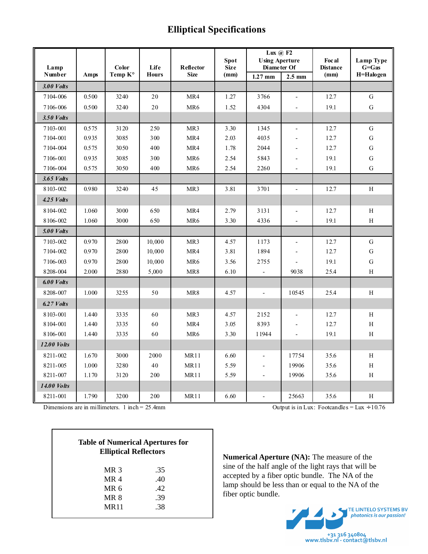## **Elliptical Specifications**

|                     |       |                  |                      |                          | <b>Spot</b>         | Lux $\omega$ F2<br><b>Using Aperture</b> |                          | Foc al                  | Lamp Type              |
|---------------------|-------|------------------|----------------------|--------------------------|---------------------|------------------------------------------|--------------------------|-------------------------|------------------------|
| Lamp<br>Number      | Amps  | Color<br>Temp K° | Life<br><b>Hours</b> | Reflector<br><b>Size</b> | <b>Size</b><br>(mm) | Diameter Of<br>$1.27$ mm                 | $2.5 \text{ mm}$         | <b>Distance</b><br>(mm) | $G = Gas$<br>H=Halogen |
| 3.00 Volts          |       |                  |                      |                          |                     |                                          |                          |                         |                        |
| 7104-006            | 0.500 | 3240             | 20                   | MR4                      | 1.27                | 3766                                     | $\overline{\phantom{a}}$ | 12.7                    | $\mathbf G$            |
| 7106-006            | 0.500 | 3240             | 20                   | MR6                      | 1.52                | 4304                                     | $\overline{\phantom{a}}$ | 19.1                    | G                      |
| 3.50 <i>Volts</i>   |       |                  |                      |                          |                     |                                          |                          |                         |                        |
| 7103-001            | 0.575 | 3120             | 250                  | MR <sub>3</sub>          | 3.30                | 1345                                     | $\overline{a}$           | 12.7                    | $\mathbf G$            |
| 7104-001            | 0.935 | 3085             | 300                  | MR4                      | 2.03                | 4035                                     |                          | 12.7                    | $\overline{G}$         |
| 7104-004            | 0.575 | 3050             | 400                  | MR4                      | 1.78                | 2044                                     |                          | 12.7                    | $\mathbf G$            |
| 7106-001            | 0.935 | 3085             | 300                  | MR <sub>6</sub>          | 2.54                | 5843                                     |                          | 19.1                    | $\overline{G}$         |
| 7106-004            | 0.575 | 3050             | 400                  | MR <sub>6</sub>          | 2.54                | 2260                                     |                          | 19.1                    | G                      |
| 3.65 Volts          |       |                  |                      |                          |                     |                                          |                          |                         |                        |
| 8103-002            | 0.980 | 3240             | 45                   | MR <sub>3</sub>          | 3.81                | 3701                                     | $\overline{\phantom{a}}$ | 12.7                    | H                      |
| $4.25$ <i>Volts</i> |       |                  |                      |                          |                     |                                          |                          |                         |                        |
| 8104-002            | 1.060 | 3000             | 650                  | MR4                      | 2.79                | 3131                                     | $\overline{a}$           | 12.7                    | H                      |
| 8106-002            | 1.060 | 3000             | 650                  | MR <sub>6</sub>          | 3.30                | 4336                                     | $\overline{\phantom{a}}$ | 19.1                    | H                      |
| <b>5.00 Volts</b>   |       |                  |                      |                          |                     |                                          |                          |                         |                        |
| 7103-002            | 0.970 | 2800             | 10,000               | MR3                      | 4.57                | 1173                                     | $\overline{\phantom{a}}$ | 12.7                    | G                      |
| 7104-002            | 0.970 | 2800             | 10,000               | MR4                      | 3.81                | 1894                                     |                          | 12.7                    | $\mathbf G$            |
| 7106-003            | 0.970 | 2800             | 10,000               | MR6                      | 3.56                | 2755                                     |                          | 19.1                    | $\overline{G}$         |
| 8208-004            | 2.000 | 2880             | 5,000                | MR8                      | 6.10                |                                          | 9038                     | 25.4                    | H                      |
| 6.00 Volts          |       |                  |                      |                          |                     |                                          |                          |                         |                        |
| 8208-007            | 1.000 | 3255             | 50                   | MR8                      | 4.57                | $\mathbf{r}$                             | 10545                    | 25.4                    | H                      |
| 6.27 Volts          |       |                  |                      |                          |                     |                                          |                          |                         |                        |
| 8103-001            | 1.440 | 3335             | 60                   | MR <sub>3</sub>          | 4.57                | 2152                                     | $\overline{a}$           | 12.7                    | H                      |
| 8104-001            | 1.440 | 3335             | 60                   | MR4                      | 3.05                | 8393                                     |                          | 12.7                    | $\rm H$                |
| 8106-001            | 1.440 | 3335             | 60                   | MR6                      | 3.30                | 11944                                    | $\overline{a}$           | 19.1                    | Η                      |
| <b>12.00 Volts</b>  |       |                  |                      |                          |                     |                                          |                          |                         |                        |
| 8211-002            | 1.670 | 3000             | 2000                 | <b>MR11</b>              | 6.60                |                                          | 17754                    | 35.6                    | H                      |
| 8211-005            | 1.000 | 3280             | 40                   | MR11                     | 5.59                |                                          | 19906                    | 35.6                    | H                      |
| 8211-007            | 1.170 | 3120             | 200                  | <b>MR11</b>              | 5.59                |                                          | 19906                    | 35.6                    | Η                      |
| 14.00 Volts         |       |                  |                      |                          |                     |                                          |                          |                         |                        |
| 8211-001            | 1.790 | 3200             | 200                  | <b>MR11</b>              | 6.60                | $\frac{1}{2}$                            | 25663                    | 35.6                    | Η                      |

Dimensions are in millimeters. 1 inch = 25.4mm Output is in Lux: Footcandles = Lux ÷ 10.76

| .35 |
|-----|
| .40 |
| .42 |
| .39 |
| .38 |
|     |

**Numerical Aperture (NA):** The measure of the sine of the half angle of the light rays that will be accepted by a fiber optic bundle. The NA of the lamp should be less than or equal to the NA of the fiber optic bundle.

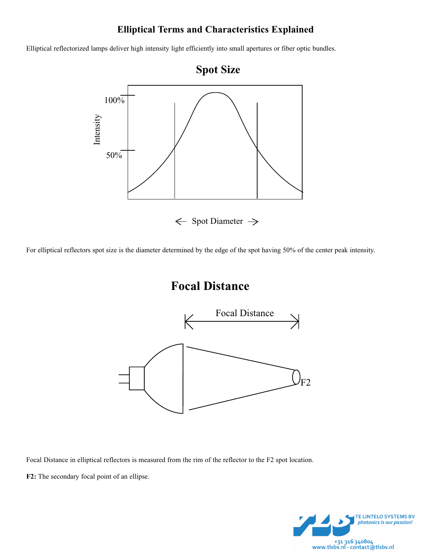## **Elliptical Terms and Characteristics Explained**

Elliptical reflectorized lamps deliver high intensity light efficiently into small apertures or fiber optic bundles.



For elliptical reflectors spot size is the diameter determined by the edge of the spot having 50% of the center peak intensity.

# **Focal Distance**



Focal Distance in elliptical reflectors is measured from the rim of the reflector to the F2 spot location.

**F2:** The secondary focal point of an ellipse.

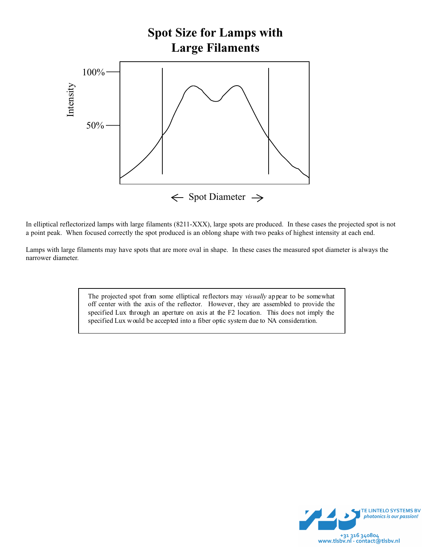

In elliptical reflectorized lamps with large filaments (8211-XXX), large spots are produced. In these cases the projected spot is not a point peak. When focused correctly the spot produced is an oblong shape with two peaks of highest intensity at each end.

Lamps with large filaments may have spots that are more oval in shape. In these cases the measured spot diameter is always the narrower diameter.

> The projected spot from some elliptical reflectors may *visually* appear to be somewhat off center with the axis of the reflector. However, they are assembled to provide the specified Lux through an aperture on axis at the F2 location. This does not imply the specified Lux would be accepted into a fiber optic system due to NA consideration.

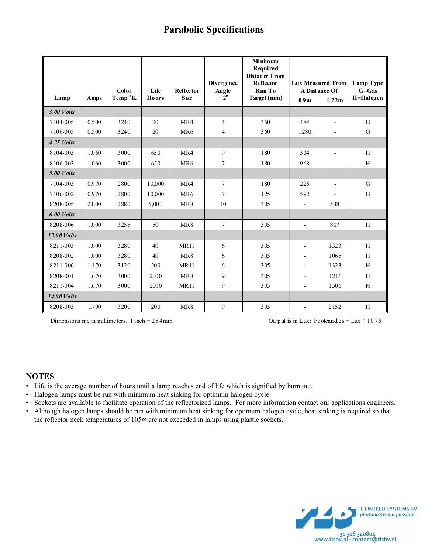## **Parabolic Specifications**

|                     |       |                   |              |                          | Divergence               | <b>Minimum</b><br>Required<br><b>Distance From</b><br><b>Reflector</b> | <b>Lux Measured From</b><br>A Distance Of |                          | Lamp Type<br>$G = Gas$ |  |
|---------------------|-------|-------------------|--------------|--------------------------|--------------------------|------------------------------------------------------------------------|-------------------------------------------|--------------------------|------------------------|--|
|                     |       | Color             | Life         | Reflector<br><b>Size</b> | Angle<br>$\pm 2^{\circ}$ | Rim To                                                                 |                                           |                          |                        |  |
| Lamp                | Amps  | Temp $\mathbf{K}$ | <b>Hours</b> |                          |                          | Target (mm)                                                            | 0.9 <sub>m</sub>                          | 1.22m                    | H=Halogen              |  |
| $3.00$ <i>Volts</i> |       |                   |              |                          |                          |                                                                        |                                           |                          |                        |  |
| 7104-005            | 0.500 | 3240              | 20           | MR4                      | $\overline{4}$           | 360                                                                    | 484                                       | $\overline{\phantom{a}}$ | G                      |  |
| 7106-005            | 0.500 | 3240              | 20           | MR <sub>6</sub>          | 4                        | 360                                                                    | 1280                                      | $\overline{a}$           | $\mathbf G$            |  |
| $4.25$ Volts        |       |                   |              |                          |                          |                                                                        |                                           |                          |                        |  |
| 8104-003            | 1.060 | 3000              | 650          | MR4                      | 9                        | 180                                                                    | 334                                       | $\overline{a}$           | H                      |  |
| 8106-003            | 1.060 | 3000              | 650          | MR <sub>6</sub>          | $\overline{7}$           | 180                                                                    | 968                                       |                          | H                      |  |
| <b>5.00 Volts</b>   |       |                   |              |                          |                          |                                                                        |                                           |                          |                        |  |
| 7104-003            | 0.970 | 2800              | 10,000       | MR4                      | $\overline{7}$           | 180                                                                    | 226                                       | $\overline{a}$           | G                      |  |
| 7106-002            | 0.970 | 2800              | 10,000       | MR <sub>6</sub>          | $\overline{7}$           | 125                                                                    | 592                                       |                          | ${\bf G}$              |  |
| 8208-005            | 2.000 | 2880              | 5,000        | MR8                      | 10                       | 305                                                                    | $\blacksquare$                            | 538                      |                        |  |
| 6.00 Volts          |       |                   |              |                          |                          |                                                                        |                                           |                          |                        |  |
| 8208-006            | 1.000 | 3255              | 50           | MR8                      | $\overline{7}$           | 305                                                                    | $\overline{a}$                            | 807                      | H                      |  |
| <b>12.00 Volts</b>  |       |                   |              |                          |                          |                                                                        |                                           |                          |                        |  |
| 8211-003            | 1.000 | 3280              | 40           | <b>MR11</b>              | 6                        | 305                                                                    |                                           | 1323                     | H                      |  |
| 8208-002            | 1.000 | 3280              | 40           | MR8                      | 6                        | 305                                                                    | $\overline{\phantom{a}}$                  | 1065                     | H                      |  |
| 8211-006            | 1.170 | 3120              | 200          | <b>MR11</b>              | 6                        | 305                                                                    |                                           | 1323                     | H                      |  |
| 8208-001            | 1.670 | 3000              | 2000         | MR8                      | 9                        | 305                                                                    |                                           | 1216                     | H                      |  |
| 8211-004            | 1.670 | 3000              | 2000         | <b>MR11</b>              | 9                        | 305                                                                    |                                           | 1506                     | H                      |  |
| <b>14.00 Volts</b>  |       |                   |              |                          |                          |                                                                        |                                           |                          |                        |  |
| 8208-003            | 1.790 | 3200              | 200          | MR8                      | 9                        | 305                                                                    | $\blacksquare$                            | 2152                     | H                      |  |

Dimensions are in millime ters. 1 inch = 25.4mm Output is in Lux: Footcandles = Lux ÷ 10.76

#### **NOTES**

- Life is the average number of hours until a lamp reaches end of life which is signified by burn out.
- Halogen lamps must be run with minimum heat sinking for optimum halogen cycle.
- Sockets are available to facilitate operation of the reflectorized lamps. For more information contact our applications engineers.
- Although halogen lamps should be run with minimum heat sinking for optimum halogen cycle, heat sinking is required so that the reflector neck temperatures of 105∞ are not exceeded in lamps using plastic sockets.

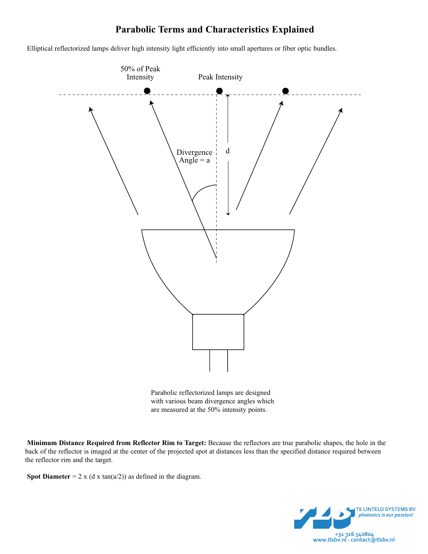# **Parabolic Terms and Characteristics Explained**

Elliptical reflectorized lamps deliver high intensity light efficiently into small apertures or fiber optic bundles.



Parabolic reflectorized lamps are designed with various beam divergence angles which are measured at the 50% intensity points.

**Minimum Distance Required from Reflector Rim to Target:** Because the reflectors are true parabolic shapes, the hole in the back of the reflector is imaged at the center of the projected spot at distances less than the specified distance required between the reflector rim and the target.

**Spot Diameter** = 2 x (d x tan( $a/2$ )) as defined in the diagram.

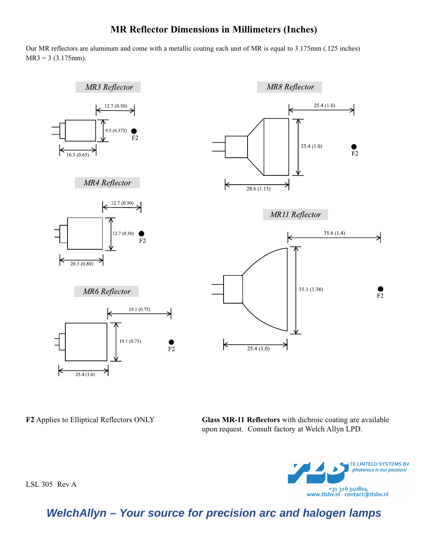### **MR Reflector Dimensions in Millimeters (Inches)**

Our MR reflectors are aluminum and come with a metallic coating each unit of MR is equal to 3.175mm (.125 inches)  $MR3 = 3 (3.175mm).$ 



**F2** Applies to Elliptical Reflectors ONLY **Glass MR-11 Reflectors** with dichroic coating are available upon request. Consult factory at Welch Allyn LPD.



**WelchAllyn – Your source for precision arc and halogen lamps**